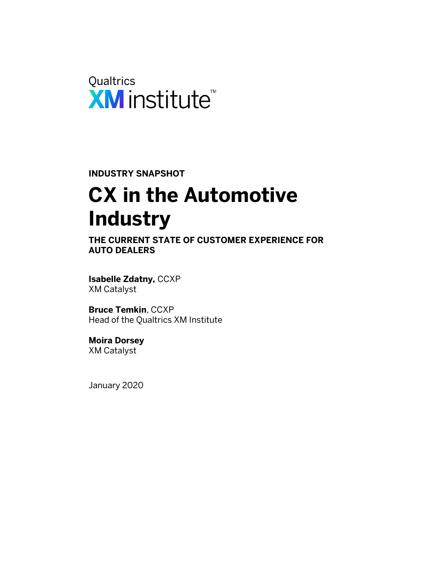

**INDUSTRY SNAPSHOT**

# **CX in the Automotive Industry**

**THE CURRENT STATE OF CUSTOMER EXPERIENCE FOR AUTO DEALERS**

**Isabelle Zdatny,** CCXP XM Catalyst

**Bruce Temkin**, CCXP Head of the Qualtrics XM Institute

**Moira Dorsey** XM Catalyst

January 2020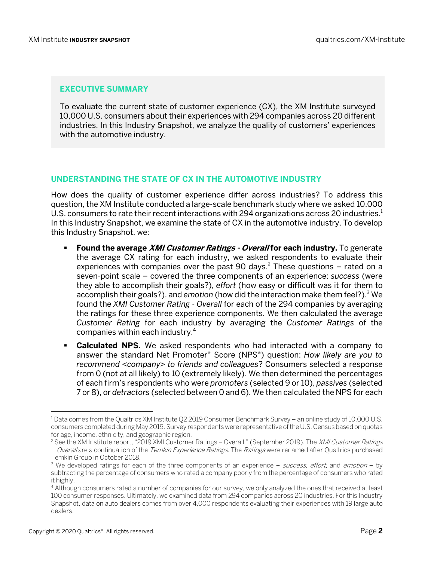#### **EXECUTIVE SUMMARY**

To evaluate the current state of customer experience (CX), the XM Institute surveyed 10,000 U.S. consumers about their experiences with 294 companies across 20 different industries. In this Industry Snapshot, we analyze the quality of customers' experiences with the automotive industry.

#### **UNDERSTANDING THE STATE OF CX IN THE AUTOMOTIVE INDUSTRY**

How does the quality of customer experience differ across industries? To address this question, the XM Institute conducted a large-scale benchmark study where we asked 10,000 U.S. consumers to rate their recent interactions with 294 organizations across 20 industries.<sup>1</sup> In this Industry Snapshot, we examine the state of CX in the automotive industry. To develop this Industry Snapshot, we:

- § **Found the average XMI Customer Ratings - Overall for each industry.** To generate the average CX rating for each industry, we asked respondents to evaluate their experiences with companies over the past 90 days.<sup>2</sup> These questions – rated on a seven-point scale – covered the three components of an experience: *success* (were they able to accomplish their goals?), *effort* (how easy or difficult was it for them to accomplish their goals?), and *emotion* (how did the interaction make them feel?).3 We found the *XMI Customer Rating - Overall* for each of the 294 companies by averaging the ratings for these three experience components. We then calculated the average *Customer Rating* for each industry by averaging the *Customer Ratings* of the companies within each industry.4
- § **Calculated NPS.** We asked respondents who had interacted with a company to answer the standard Net Promoter® Score (NPS®) question: *How likely are you to recommend <company> to friends and colleagues*? Consumers selected a response from 0 (not at all likely) to 10 (extremely likely). We then determined the percentages of each firm's respondents who were *promoters* (selected 9 or 10), *passives* (selected 7 or 8), or *detractors* (selected between 0 and 6). We then calculated the NPS for each

<sup>1</sup> Data comes from the Qualtrics XM Institute Q2 2019 Consumer Benchmark Survey – an online study of 10,000 U.S. consumers completed during May 2019. Survey respondents were representative of the U.S. Census based on quotas for age, income, ethnicity, and geographic region.

<sup>&</sup>lt;sup>2</sup> See the XM Institute report, "2019 XMI Customer Ratings – Overall," (September 2019). The XMI Customer Ratings – Overall are a continuation of the *Temkin Experience Ratings*. The *Ratings* were renamed after Qualtrics purchased Temkin Group in October 2018.

<sup>&</sup>lt;sup>3</sup> We developed ratings for each of the three components of an experience  $-$  *success, effort*, and *emotion*  $-$  by subtracting the percentage of consumers who rated a company poorly from the percentage of consumers who rated it highly.

<sup>4</sup> Although consumers rated a number of companies for our survey, we only analyzed the ones that received at least 100 consumer responses. Ultimately, we examined data from 294 companies across 20 industries. For this Industry Snapshot, data on auto dealers comes from over 4,000 respondents evaluating their experiences with 19 large auto dealers.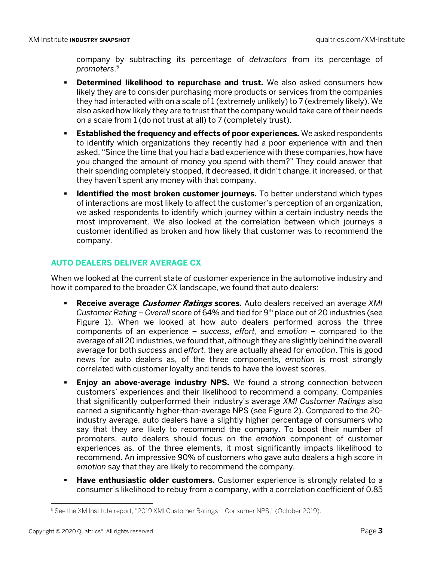company by subtracting its percentage of *detractors* from its percentage of *promoters*. 5

- **Determined likelihood to repurchase and trust.** We also asked consumers how likely they are to consider purchasing more products or services from the companies they had interacted with on a scale of 1 (extremely unlikely) to 7 (extremely likely). We also asked how likely they are to trust that the company would take care of their needs on a scale from 1 (do not trust at all) to 7 (completely trust).
- **Established the frequency and effects of poor experiences.** We asked respondents to identify which organizations they recently had a poor experience with and then asked, "Since the time that you had a bad experience with these companies, how have you changed the amount of money you spend with them?" They could answer that their spending completely stopped, it decreased, it didn't change, it increased, or that they haven't spent any money with that company.
- **Example 1 Identified the most broken customer journeys.** To better understand which types of interactions are most likely to affect the customer's perception of an organization, we asked respondents to identify which journey within a certain industry needs the most improvement. We also looked at the correlation between which journeys a customer identified as broken and how likely that customer was to recommend the company.

## **AUTO DEALERS DELIVER AVERAGE CX**

When we looked at the current state of customer experience in the automotive industry and how it compared to the broader CX landscape, we found that auto dealers:

- § **Receive average Customer Ratings scores.** Auto dealers received an average *XMI Customer Rating – Overall* score of 64% and tied for 9th place out of 20 industries (see Figure 1). When we looked at how auto dealers performed across the three components of an experience – *success*, *effort*, and *emotion* – compared to the average of all 20 industries, we found that, although they are slightly behind the overall average for both *success* and *effort*, they are actually ahead for *emotion*. This is good news for auto dealers as, of the three components, *emotion* is most strongly correlated with customer loyalty and tends to have the lowest scores.
- § **Enjoy an above-average industry NPS.** We found a strong connection between customers' experiences and their likelihood to recommend a company. Companies that significantly outperformed their industry's average *XMI Customer Ratings* also earned a significantly higher-than-average NPS (see Figure 2). Compared to the 20 industry average, auto dealers have a slightly higher percentage of consumers who say that they are likely to recommend the company. To boost their number of promoters, auto dealers should focus on the *emotion* component of customer experiences as, of the three elements, it most significantly impacts likelihood to recommend. An impressive 90% of customers who gave auto dealers a high score in *emotion* say that they are likely to recommend the company.
- **Have enthusiastic older customers.** Customer experience is strongly related to a consumer's likelihood to rebuy from a company, with a correlation coefficient of 0.85

<sup>5</sup> See the XM Institute report, "2019 XMI Customer Ratings – Consumer NPS," (October 2019).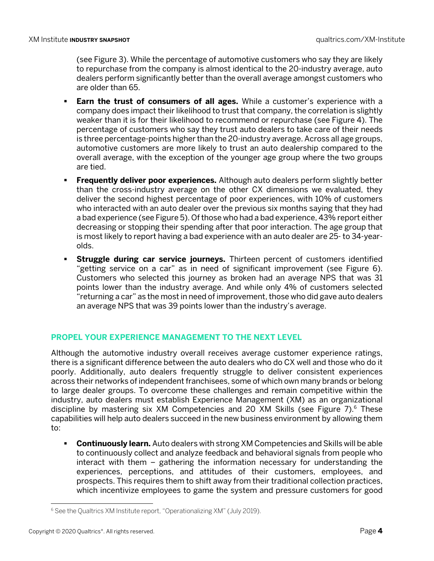(see Figure 3). While the percentage of automotive customers who say they are likely to repurchase from the company is almost identical to the 20-industry average, auto dealers perform significantly better than the overall average amongst customers who are older than 65.

- § **Earn the trust of consumers of all ages.** While a customer's experience with a company does impact their likelihood to trust that company, the correlation is slightly weaker than it is for their likelihood to recommend or repurchase (see Figure 4). The percentage of customers who say they trust auto dealers to take care of their needs is three percentage-points higher than the 20-industry average. Across all age groups, automotive customers are more likely to trust an auto dealership compared to the overall average, with the exception of the younger age group where the two groups are tied.
- § **Frequently deliver poor experiences.** Although auto dealers perform slightly better than the cross-industry average on the other CX dimensions we evaluated, they deliver the second highest percentage of poor experiences, with 10% of customers who interacted with an auto dealer over the previous six months saying that they had a bad experience (see Figure 5). Of those who had a bad experience, 43% report either decreasing or stopping their spending after that poor interaction. The age group that is most likely to report having a bad experience with an auto dealer are 25- to 34-yearolds.
- **Struggle during car service journeys.** Thirteen percent of customers identified "getting service on a car" as in need of significant improvement (see Figure 6). Customers who selected this journey as broken had an average NPS that was 31 points lower than the industry average. And while only 4% of customers selected "returning a car" as the most in need of improvement, those who did gave auto dealers an average NPS that was 39 points lower than the industry's average.

### **PROPEL YOUR EXPERIENCE MANAGEMENT TO THE NEXT LEVEL**

Although the automotive industry overall receives average customer experience ratings, there is a significant difference between the auto dealers who do CX well and those who do it poorly. Additionally, auto dealers frequently struggle to deliver consistent experiences across their networks of independent franchisees, some of which own many brands or belong to large dealer groups. To overcome these challenges and remain competitive within the industry, auto dealers must establish Experience Management (XM) as an organizational discipline by mastering six  $XM$  Competencies and 20  $XM$  Skills (see Figure 7).<sup>6</sup> These capabilities will help auto dealers succeed in the new business environment by allowing them to:

**• Continuously learn.** Auto dealers with strong XM Competencies and Skills will be able to continuously collect and analyze feedback and behavioral signals from people who interact with them – gathering the information necessary for understanding the experiences, perceptions, and attitudes of their customers, employees, and prospects. This requires them to shift away from their traditional collection practices, which incentivize employees to game the system and pressure customers for good

<sup>6</sup> See the Qualtrics XM Institute report, "Operationalizing XM" (July 2019).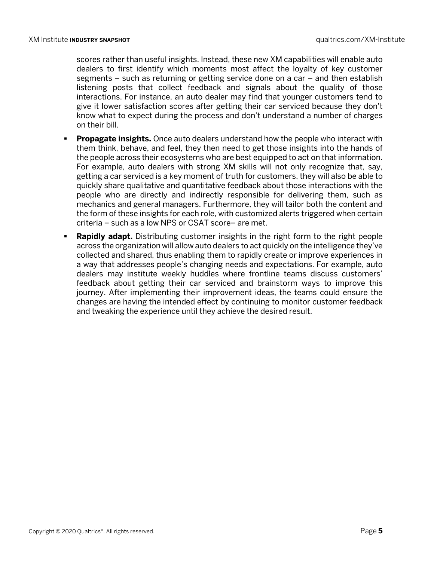scores rather than useful insights. Instead, these new XM capabilities will enable auto dealers to first identify which moments most affect the loyalty of key customer segments – such as returning or getting service done on a car – and then establish listening posts that collect feedback and signals about the quality of those interactions. For instance, an auto dealer may find that younger customers tend to give it lower satisfaction scores after getting their car serviced because they don't know what to expect during the process and don't understand a number of charges on their bill.

- **Propagate insights.** Once auto dealers understand how the people who interact with them think, behave, and feel, they then need to get those insights into the hands of the people across their ecosystems who are best equipped to act on that information. For example, auto dealers with strong XM skills will not only recognize that, say, getting a car serviced is a key moment of truth for customers, they will also be able to quickly share qualitative and quantitative feedback about those interactions with the people who are directly and indirectly responsible for delivering them, such as mechanics and general managers. Furthermore, they will tailor both the content and the form of these insights for each role, with customized alerts triggered when certain criteria – such as a low NPS or CSAT score– are met.
- **Rapidly adapt.** Distributing customer insights in the right form to the right people across the organization will allow auto dealers to act quickly on the intelligence they've collected and shared, thus enabling them to rapidly create or improve experiences in a way that addresses people's changing needs and expectations. For example, auto dealers may institute weekly huddles where frontline teams discuss customers' feedback about getting their car serviced and brainstorm ways to improve this journey. After implementing their improvement ideas, the teams could ensure the changes are having the intended effect by continuing to monitor customer feedback and tweaking the experience until they achieve the desired result.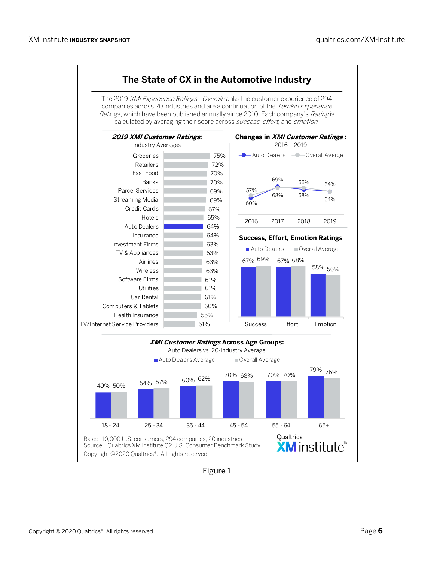

Figure 1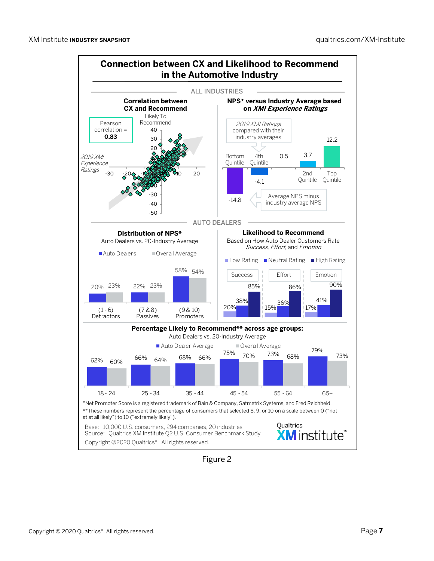

Figure 2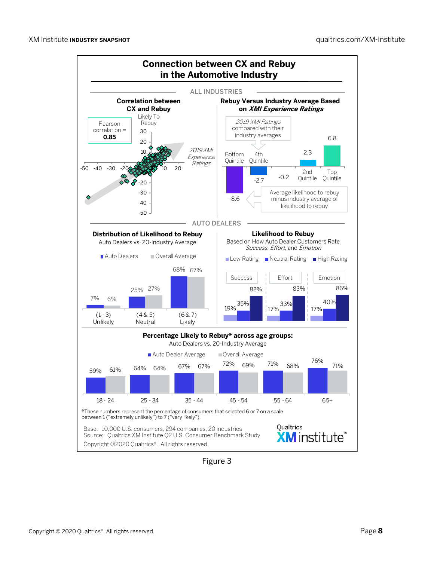

Figure 3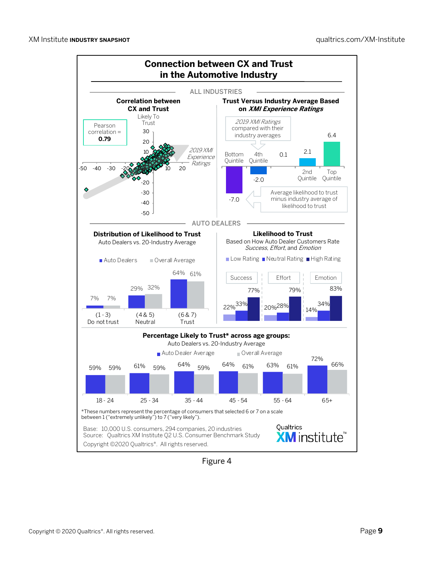

Figure 4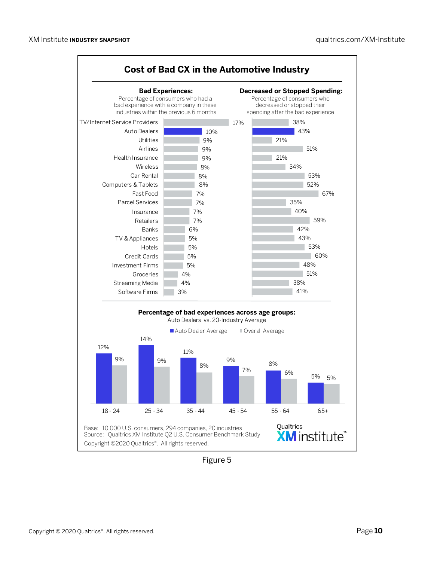

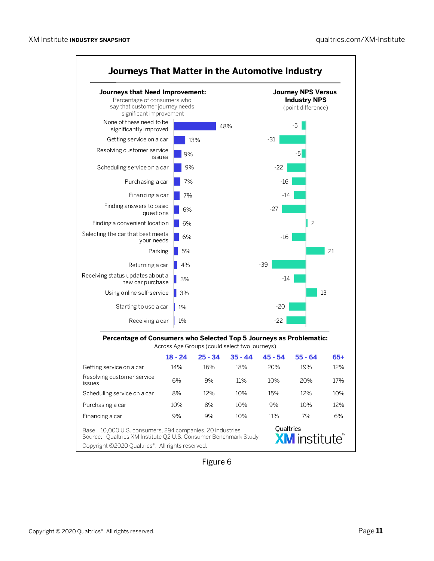